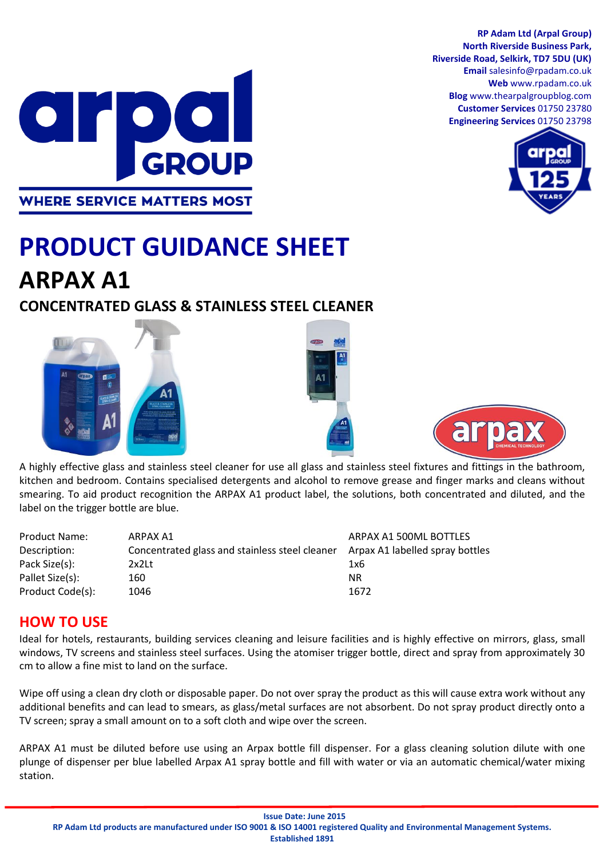**RP Adam Ltd (Arpal Group) North Riverside Business Park, Riverside Road, Selkirk, TD7 5DU (UK) Email** salesinfo@rpadam.co.uk **Web** www.rpadam.co.uk **Blog** www.thearpalgroupblog.com **Customer Services** 01750 23780 **Engineering Services** 01750 23798





# **PRODUCT GUIDANCE SHEET ARPAX A1**

## **CONCENTRATED GLASS & STAINLESS STEEL CLEANER**







A highly effective glass and stainless steel cleaner for use all glass and stainless steel fixtures and fittings in the bathroom, kitchen and bedroom. Contains specialised detergents and alcohol to remove grease and finger marks and cleans without smearing. To aid product recognition the ARPAX A1 product label, the solutions, both concentrated and diluted, and the label on the trigger bottle are blue.

| <b>Product Name:</b> | ARPAX A1                                       | ARPAX A1 500ML BOTTLES          |
|----------------------|------------------------------------------------|---------------------------------|
| Description:         | Concentrated glass and stainless steel cleaner | Arpax A1 labelled spray bottles |
| Pack Size(s):        | 2x2Lt                                          | 1x6                             |
| Pallet Size(s):      | 160                                            | <b>NR</b>                       |
| Product Code(s):     | 1046                                           | 1672                            |

### **HOW TO USE**

Ideal for hotels, restaurants, building services cleaning and leisure facilities and is highly effective on mirrors, glass, small windows, TV screens and stainless steel surfaces. Using the atomiser trigger bottle, direct and spray from approximately 30 cm to allow a fine mist to land on the surface.

Wipe off using a clean dry cloth or disposable paper. Do not over spray the product as this will cause extra work without any additional benefits and can lead to smears, as glass/metal surfaces are not absorbent. Do not spray product directly onto a TV screen; spray a small amount on to a soft cloth and wipe over the screen.

ARPAX A1 must be diluted before use using an Arpax bottle fill dispenser. For a glass cleaning solution dilute with one plunge of dispenser per blue labelled Arpax A1 spray bottle and fill with water or via an automatic chemical/water mixing station.